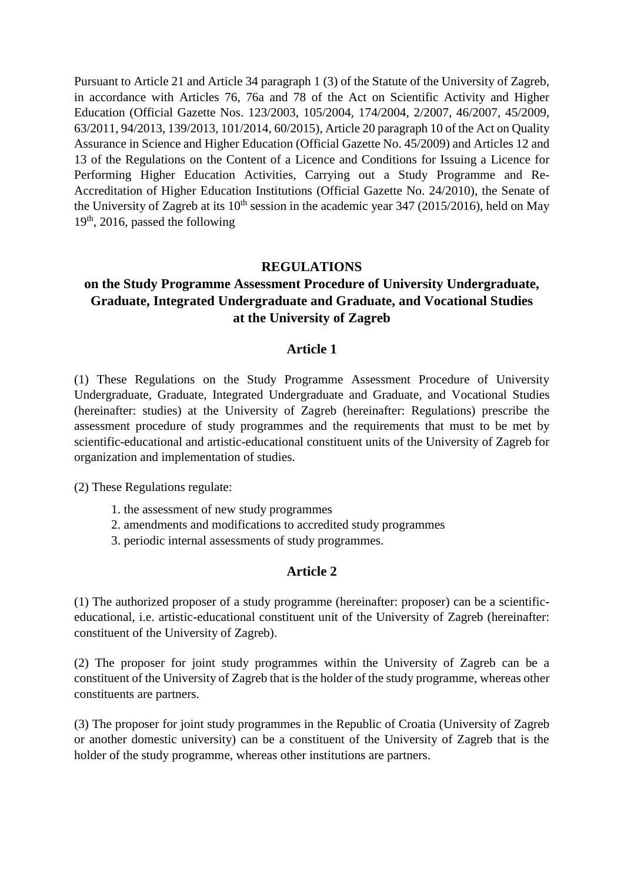Pursuant to Article 21 and Article 34 paragraph 1 (3) of the Statute of the University of Zagreb, in accordance with Articles 76, 76a and 78 of the Act on Scientific Activity and Higher Education (Official Gazette Nos. 123/2003, 105/2004, 174/2004, 2/2007, 46/2007, 45/2009, 63/2011, 94/2013, 139/2013, 101/2014, 60/2015), Article 20 paragraph 10 of the Act on Quality Assurance in Science and Higher Education (Official Gazette No. 45/2009) and Articles 12 and 13 of the Regulations on the Content of a Licence and Conditions for Issuing a Licence for Performing Higher Education Activities, Carrying out a Study Programme and Re-Accreditation of Higher Education Institutions (Official Gazette No. 24/2010), the Senate of the University of Zagreb at its  $10^{th}$  session in the academic year 347 (2015/2016), held on May 19<sup>th</sup>, 2016, passed the following

#### **REGULATIONS**

# **on the Study Programme Assessment Procedure of University Undergraduate, Graduate, Integrated Undergraduate and Graduate, and Vocational Studies at the University of Zagreb**

#### **Article 1**

(1) These Regulations on the Study Programme Assessment Procedure of University Undergraduate, Graduate, Integrated Undergraduate and Graduate, and Vocational Studies (hereinafter: studies) at the University of Zagreb (hereinafter: Regulations) prescribe the assessment procedure of study programmes and the requirements that must to be met by scientific-educational and artistic-educational constituent units of the University of Zagreb for organization and implementation of studies.

(2) These Regulations regulate:

- 1. the assessment of new study programmes
- 2. amendments and modifications to accredited study programmes
- 3. periodic internal assessments of study programmes.

#### **Article 2**

(1) The authorized proposer of a study programme (hereinafter: proposer) can be a scientificeducational, i.e. artistic-educational constituent unit of the University of Zagreb (hereinafter: constituent of the University of Zagreb).

(2) The proposer for joint study programmes within the University of Zagreb can be a constituent of the University of Zagreb that is the holder of the study programme, whereas other constituents are partners.

(3) The proposer for joint study programmes in the Republic of Croatia (University of Zagreb or another domestic university) can be a constituent of the University of Zagreb that is the holder of the study programme, whereas other institutions are partners.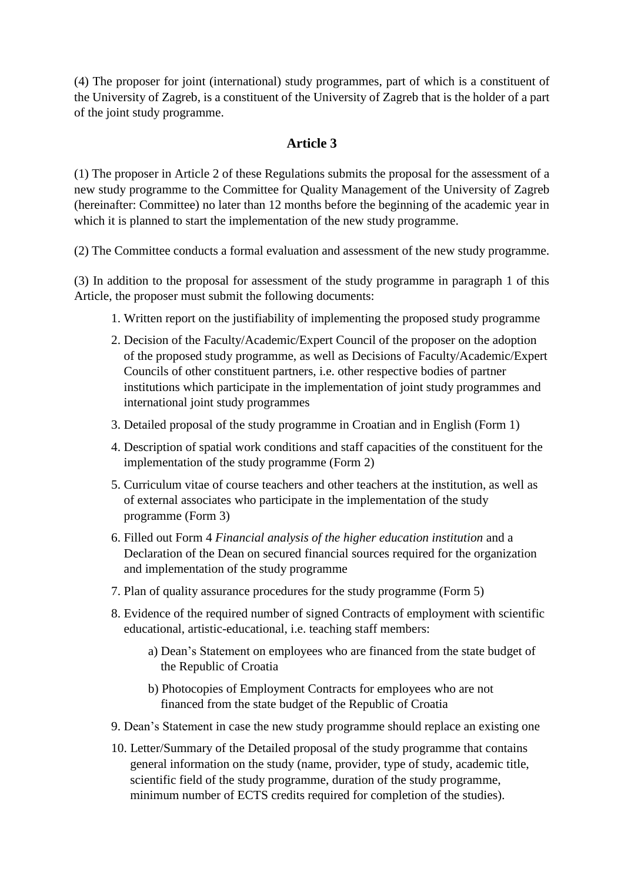(4) The proposer for joint (international) study programmes, part of which is a constituent of the University of Zagreb, is a constituent of the University of Zagreb that is the holder of a part of the joint study programme.

## **Article 3**

(1) The proposer in Article 2 of these Regulations submits the proposal for the assessment of a new study programme to the Committee for Quality Management of the University of Zagreb (hereinafter: Committee) no later than 12 months before the beginning of the academic year in which it is planned to start the implementation of the new study programme.

(2) The Committee conducts a formal evaluation and assessment of the new study programme.

(3) In addition to the proposal for assessment of the study programme in paragraph 1 of this Article, the proposer must submit the following documents:

- 1. Written report on the justifiability of implementing the proposed study programme
- 2. Decision of the Faculty/Academic/Expert Council of the proposer on the adoption of the proposed study programme, as well as Decisions of Faculty/Academic/Expert Councils of other constituent partners, i.e. other respective bodies of partner institutions which participate in the implementation of joint study programmes and international joint study programmes
- 3. Detailed proposal of the study programme in Croatian and in English (Form 1)
- 4. Description of spatial work conditions and staff capacities of the constituent for the implementation of the study programme (Form 2)
- 5. Curriculum vitae of course teachers and other teachers at the institution, as well as of external associates who participate in the implementation of the study programme (Form 3)
- 6. Filled out Form 4 *Financial analysis of the higher education institution* and a Declaration of the Dean on secured financial sources required for the organization and implementation of the study programme
- 7. Plan of quality assurance procedures for the study programme (Form 5)
- 8. Evidence of the required number of signed Contracts of employment with scientific educational, artistic-educational, i.e. teaching staff members:
	- a) Dean's Statement on employees who are financed from the state budget of the Republic of Croatia
	- b) Photocopies of Employment Contracts for employees who are not financed from the state budget of the Republic of Croatia
- 9. Dean's Statement in case the new study programme should replace an existing one
- 10. Letter/Summary of the Detailed proposal of the study programme that contains general information on the study (name, provider, type of study, academic title, scientific field of the study programme, duration of the study programme, minimum number of ECTS credits required for completion of the studies).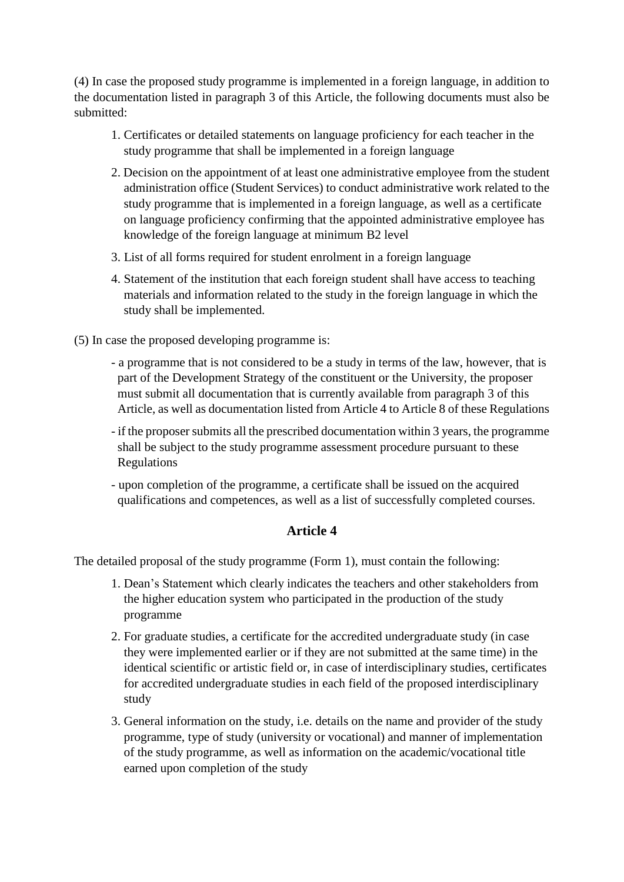(4) In case the proposed study programme is implemented in a foreign language, in addition to the documentation listed in paragraph 3 of this Article, the following documents must also be submitted:

- 1. Certificates or detailed statements on language proficiency for each teacher in the study programme that shall be implemented in a foreign language
- 2. Decision on the appointment of at least one administrative employee from the student administration office (Student Services) to conduct administrative work related to the study programme that is implemented in a foreign language, as well as a certificate on language proficiency confirming that the appointed administrative employee has knowledge of the foreign language at minimum B2 level
- 3. List of all forms required for student enrolment in a foreign language
- 4. Statement of the institution that each foreign student shall have access to teaching materials and information related to the study in the foreign language in which the study shall be implemented.
- (5) In case the proposed developing programme is:
	- a programme that is not considered to be a study in terms of the law, however, that is part of the Development Strategy of the constituent or the University, the proposer must submit all documentation that is currently available from paragraph 3 of this Article, as well as documentation listed from Article 4 to Article 8 of these Regulations
	- if the proposer submits all the prescribed documentation within 3 years, the programme shall be subject to the study programme assessment procedure pursuant to these Regulations
	- upon completion of the programme, a certificate shall be issued on the acquired qualifications and competences, as well as a list of successfully completed courses.

## **Article 4**

The detailed proposal of the study programme (Form 1), must contain the following:

- 1. Dean's Statement which clearly indicates the teachers and other stakeholders from the higher education system who participated in the production of the study programme
- 2. For graduate studies, a certificate for the accredited undergraduate study (in case they were implemented earlier or if they are not submitted at the same time) in the identical scientific or artistic field or, in case of interdisciplinary studies, certificates for accredited undergraduate studies in each field of the proposed interdisciplinary study
- 3. General information on the study, i.e. details on the name and provider of the study programme, type of study (university or vocational) and manner of implementation of the study programme, as well as information on the academic/vocational title earned upon completion of the study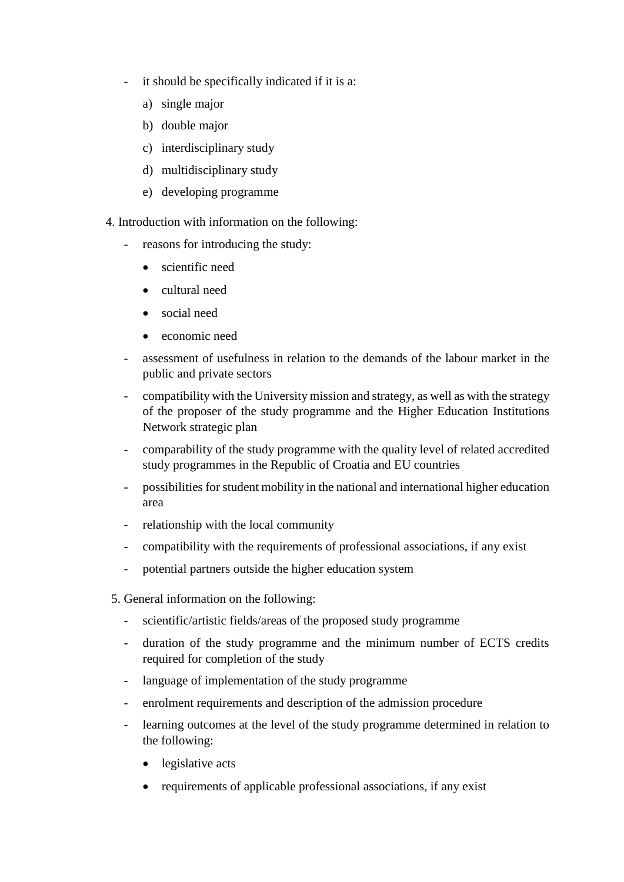- it should be specifically indicated if it is a:
	- a) single major
	- b) double major
	- c) interdisciplinary study
	- d) multidisciplinary study
	- e) developing programme
- 4. Introduction with information on the following:
	- reasons for introducing the study:
		- scientific need
		- cultural need
		- social need
		- economic need
	- assessment of usefulness in relation to the demands of the labour market in the public and private sectors
	- compatibility with the University mission and strategy, as well as with the strategy of the proposer of the study programme and the Higher Education Institutions Network strategic plan
	- comparability of the study programme with the quality level of related accredited study programmes in the Republic of Croatia and EU countries
	- possibilities for student mobility in the national and international higher education area
	- relationship with the local community
	- compatibility with the requirements of professional associations, if any exist
	- potential partners outside the higher education system
	- 5. General information on the following:
		- scientific/artistic fields/areas of the proposed study programme
		- duration of the study programme and the minimum number of ECTS credits required for completion of the study
		- language of implementation of the study programme
		- enrolment requirements and description of the admission procedure
		- learning outcomes at the level of the study programme determined in relation to the following:
			- legislative acts
			- requirements of applicable professional associations, if any exist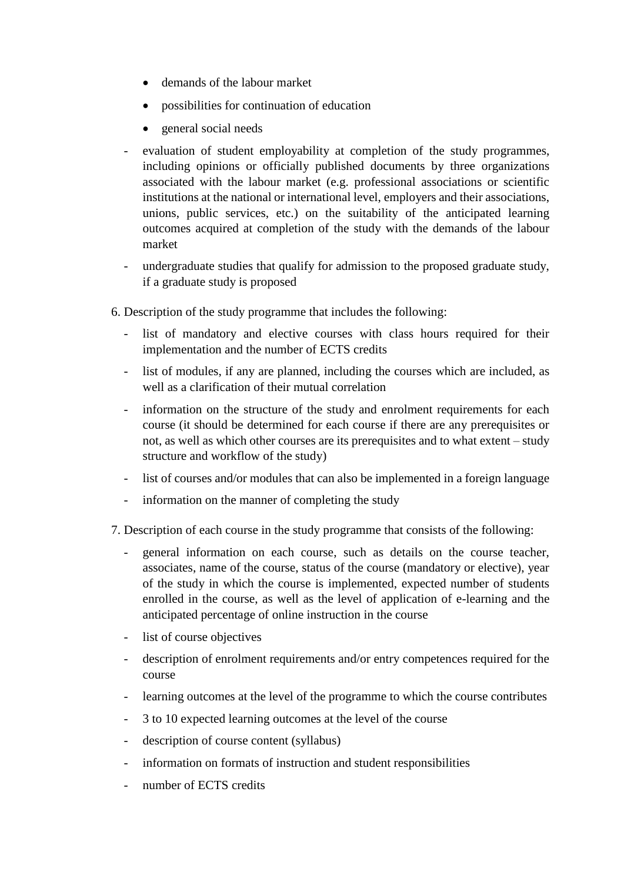- demands of the labour market
- possibilities for continuation of education
- general social needs
- evaluation of student employability at completion of the study programmes, including opinions or officially published documents by three organizations associated with the labour market (e.g. professional associations or scientific institutions at the national or international level, employers and their associations, unions, public services, etc.) on the suitability of the anticipated learning outcomes acquired at completion of the study with the demands of the labour market
- undergraduate studies that qualify for admission to the proposed graduate study, if a graduate study is proposed
- 6. Description of the study programme that includes the following:
	- list of mandatory and elective courses with class hours required for their implementation and the number of ECTS credits
	- list of modules, if any are planned, including the courses which are included, as well as a clarification of their mutual correlation
	- information on the structure of the study and enrolment requirements for each course (it should be determined for each course if there are any prerequisites or not, as well as which other courses are its prerequisites and to what extent – study structure and workflow of the study)
	- list of courses and/or modules that can also be implemented in a foreign language
	- information on the manner of completing the study
- 7. Description of each course in the study programme that consists of the following:
	- general information on each course, such as details on the course teacher, associates, name of the course, status of the course (mandatory or elective), year of the study in which the course is implemented, expected number of students enrolled in the course, as well as the level of application of e-learning and the anticipated percentage of online instruction in the course
	- list of course objectives
	- description of enrolment requirements and/or entry competences required for the course
	- learning outcomes at the level of the programme to which the course contributes
	- 3 to 10 expected learning outcomes at the level of the course
	- description of course content (syllabus)
	- information on formats of instruction and student responsibilities
	- number of ECTS credits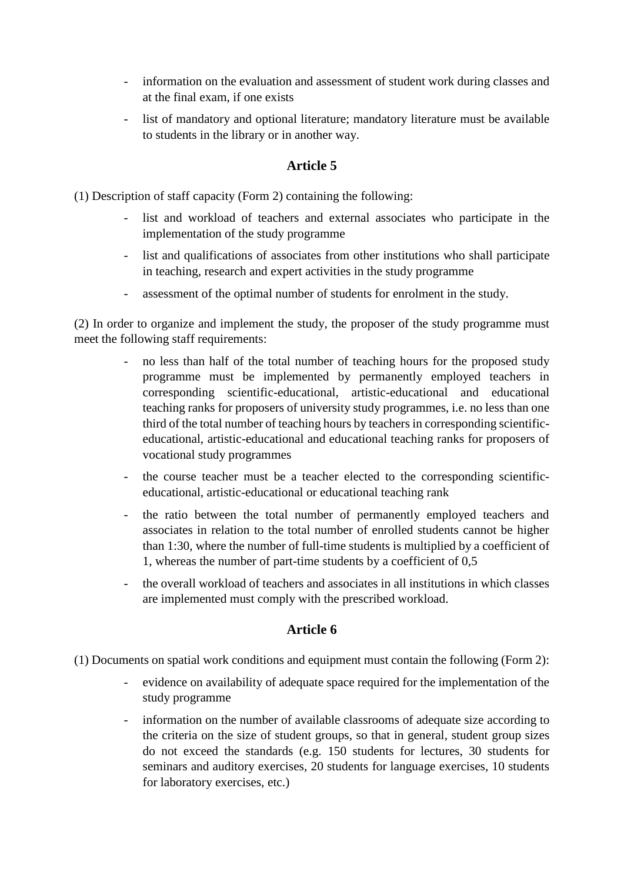- information on the evaluation and assessment of student work during classes and at the final exam, if one exists
- list of mandatory and optional literature; mandatory literature must be available to students in the library or in another way.

### **Article 5**

(1) Description of staff capacity (Form 2) containing the following:

- list and workload of teachers and external associates who participate in the implementation of the study programme
- list and qualifications of associates from other institutions who shall participate in teaching, research and expert activities in the study programme
- assessment of the optimal number of students for enrolment in the study.

(2) In order to organize and implement the study, the proposer of the study programme must meet the following staff requirements:

- no less than half of the total number of teaching hours for the proposed study programme must be implemented by permanently employed teachers in corresponding scientific-educational, artistic-educational and educational teaching ranks for proposers of university study programmes, i.e. no less than one third of the total number of teaching hours by teachers in corresponding scientificeducational, artistic-educational and educational teaching ranks for proposers of vocational study programmes
- the course teacher must be a teacher elected to the corresponding scientificeducational, artistic-educational or educational teaching rank
- the ratio between the total number of permanently employed teachers and associates in relation to the total number of enrolled students cannot be higher than 1:30, where the number of full-time students is multiplied by a coefficient of 1, whereas the number of part-time students by a coefficient of 0,5
- the overall workload of teachers and associates in all institutions in which classes are implemented must comply with the prescribed workload.

## **Article 6**

- (1) Documents on spatial work conditions and equipment must contain the following (Form 2):
	- evidence on availability of adequate space required for the implementation of the study programme
	- information on the number of available classrooms of adequate size according to the criteria on the size of student groups, so that in general, student group sizes do not exceed the standards (e.g. 150 students for lectures, 30 students for seminars and auditory exercises, 20 students for language exercises, 10 students for laboratory exercises, etc.)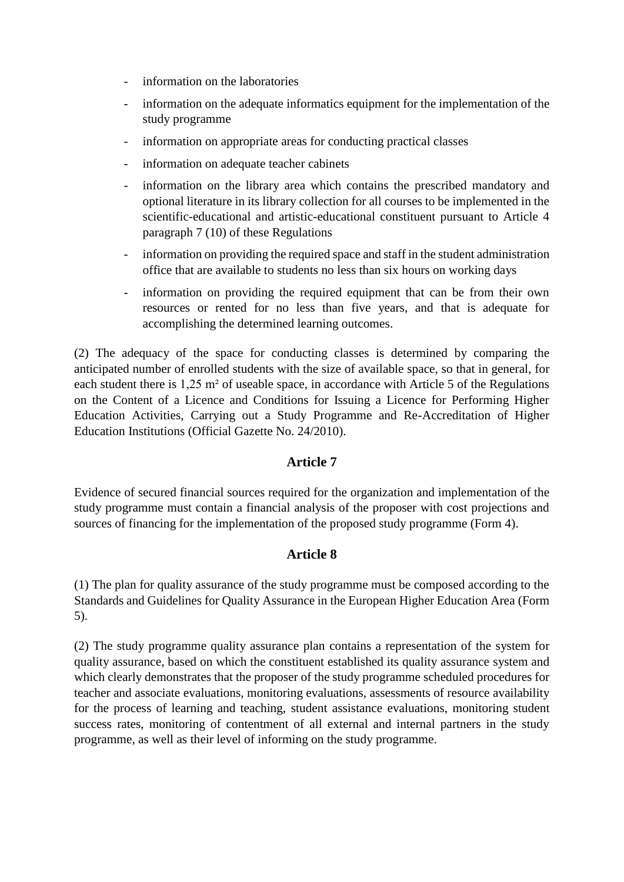- information on the laboratories
- information on the adequate informatics equipment for the implementation of the study programme
- information on appropriate areas for conducting practical classes
- information on adequate teacher cabinets
- information on the library area which contains the prescribed mandatory and optional literature in its library collection for all courses to be implemented in the scientific-educational and artistic-educational constituent pursuant to Article 4 paragraph 7 (10) of these Regulations
- information on providing the required space and staff in the student administration office that are available to students no less than six hours on working days
- information on providing the required equipment that can be from their own resources or rented for no less than five years, and that is adequate for accomplishing the determined learning outcomes.

(2) The adequacy of the space for conducting classes is determined by comparing the anticipated number of enrolled students with the size of available space, so that in general, for each student there is 1,25 m² of useable space, in accordance with Article 5 of the Regulations on the Content of a Licence and Conditions for Issuing a Licence for Performing Higher Education Activities, Carrying out a Study Programme and Re-Accreditation of Higher Education Institutions (Official Gazette No. 24/2010).

### **Article 7**

Evidence of secured financial sources required for the organization and implementation of the study programme must contain a financial analysis of the proposer with cost projections and sources of financing for the implementation of the proposed study programme (Form 4).

### **Article 8**

(1) The plan for quality assurance of the study programme must be composed according to the Standards and Guidelines for Quality Assurance in the European Higher Education Area (Form 5).

(2) The study programme quality assurance plan contains a representation of the system for quality assurance, based on which the constituent established its quality assurance system and which clearly demonstrates that the proposer of the study programme scheduled procedures for teacher and associate evaluations, monitoring evaluations, assessments of resource availability for the process of learning and teaching, student assistance evaluations, monitoring student success rates, monitoring of contentment of all external and internal partners in the study programme, as well as their level of informing on the study programme.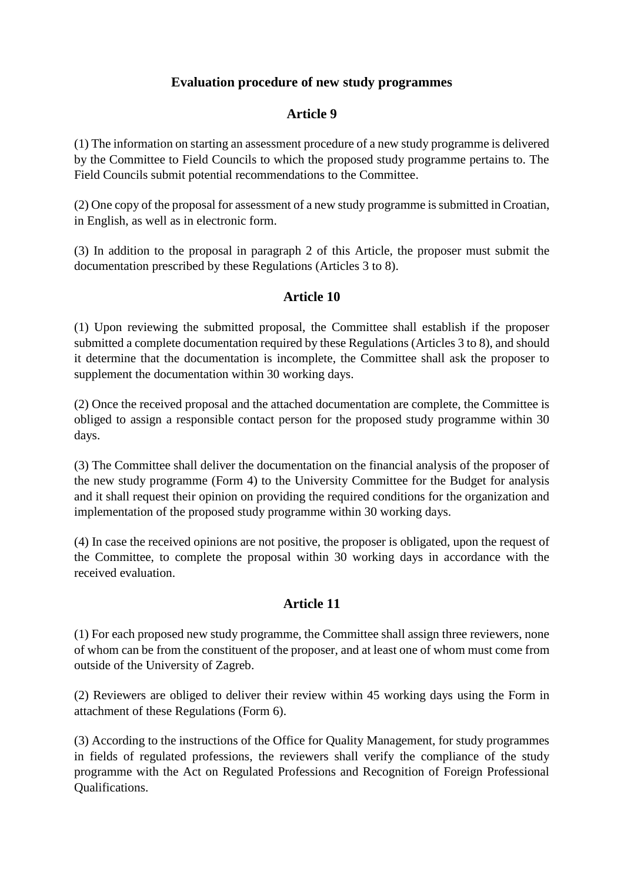## **Evaluation procedure of new study programmes**

## **Article 9**

(1) The information on starting an assessment procedure of a new study programme is delivered by the Committee to Field Councils to which the proposed study programme pertains to. The Field Councils submit potential recommendations to the Committee.

(2) One copy of the proposal for assessment of a new study programme is submitted in Croatian, in English, as well as in electronic form.

(3) In addition to the proposal in paragraph 2 of this Article, the proposer must submit the documentation prescribed by these Regulations (Articles 3 to 8).

# **Article 10**

(1) Upon reviewing the submitted proposal, the Committee shall establish if the proposer submitted a complete documentation required by these Regulations (Articles 3 to 8), and should it determine that the documentation is incomplete, the Committee shall ask the proposer to supplement the documentation within 30 working days.

(2) Once the received proposal and the attached documentation are complete, the Committee is obliged to assign a responsible contact person for the proposed study programme within 30 days.

(3) The Committee shall deliver the documentation on the financial analysis of the proposer of the new study programme (Form 4) to the University Committee for the Budget for analysis and it shall request their opinion on providing the required conditions for the organization and implementation of the proposed study programme within 30 working days.

(4) In case the received opinions are not positive, the proposer is obligated, upon the request of the Committee, to complete the proposal within 30 working days in accordance with the received evaluation.

## **Article 11**

(1) For each proposed new study programme, the Committee shall assign three reviewers, none of whom can be from the constituent of the proposer, and at least one of whom must come from outside of the University of Zagreb.

(2) Reviewers are obliged to deliver their review within 45 working days using the Form in attachment of these Regulations (Form 6).

(3) According to the instructions of the Office for Quality Management, for study programmes in fields of regulated professions, the reviewers shall verify the compliance of the study programme with the Act on Regulated Professions and Recognition of Foreign Professional Qualifications.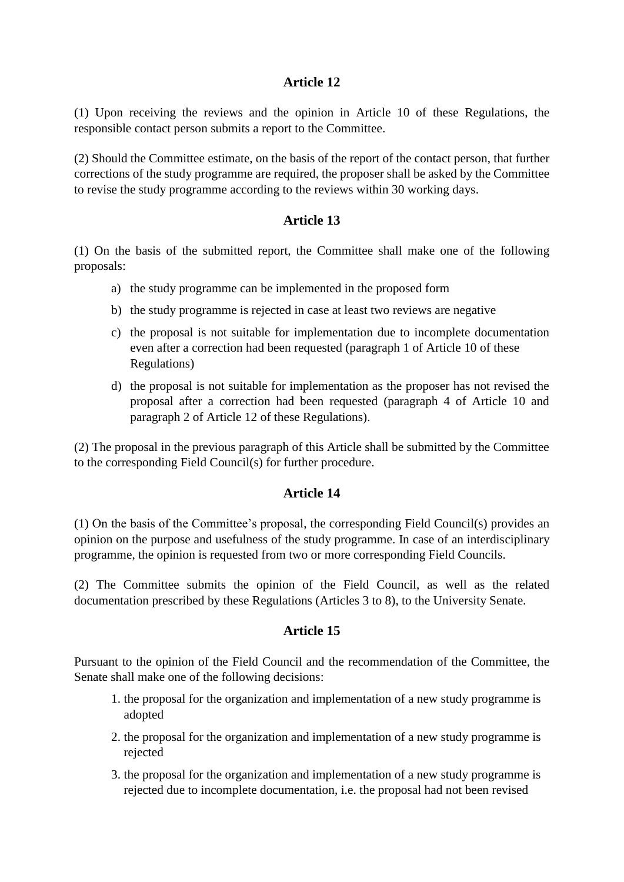## **Article 12**

(1) Upon receiving the reviews and the opinion in Article 10 of these Regulations, the responsible contact person submits a report to the Committee.

(2) Should the Committee estimate, on the basis of the report of the contact person, that further corrections of the study programme are required, the proposer shall be asked by the Committee to revise the study programme according to the reviews within 30 working days.

## **Article 13**

(1) On the basis of the submitted report, the Committee shall make one of the following proposals:

- a) the study programme can be implemented in the proposed form
- b) the study programme is rejected in case at least two reviews are negative
- c) the proposal is not suitable for implementation due to incomplete documentation even after a correction had been requested (paragraph 1 of Article 10 of these Regulations)
- d) the proposal is not suitable for implementation as the proposer has not revised the proposal after a correction had been requested (paragraph 4 of Article 10 and paragraph 2 of Article 12 of these Regulations).

(2) The proposal in the previous paragraph of this Article shall be submitted by the Committee to the corresponding Field Council(s) for further procedure.

## **Article 14**

(1) On the basis of the Committee's proposal, the corresponding Field Council(s) provides an opinion on the purpose and usefulness of the study programme. In case of an interdisciplinary programme, the opinion is requested from two or more corresponding Field Councils.

(2) The Committee submits the opinion of the Field Council, as well as the related documentation prescribed by these Regulations (Articles 3 to 8), to the University Senate.

### **Article 15**

Pursuant to the opinion of the Field Council and the recommendation of the Committee, the Senate shall make one of the following decisions:

- 1. the proposal for the organization and implementation of a new study programme is adopted
- 2. the proposal for the organization and implementation of a new study programme is rejected
- 3. the proposal for the organization and implementation of a new study programme is rejected due to incomplete documentation, i.e. the proposal had not been revised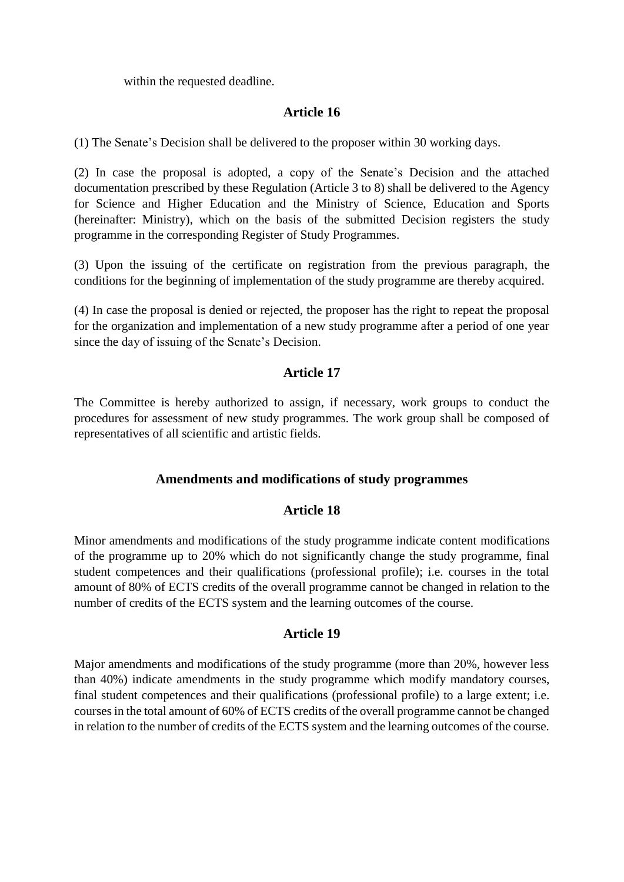within the requested deadline.

### **Article 16**

(1) The Senate's Decision shall be delivered to the proposer within 30 working days.

(2) In case the proposal is adopted, a copy of the Senate's Decision and the attached documentation prescribed by these Regulation (Article 3 to 8) shall be delivered to the Agency for Science and Higher Education and the Ministry of Science, Education and Sports (hereinafter: Ministry), which on the basis of the submitted Decision registers the study programme in the corresponding Register of Study Programmes.

(3) Upon the issuing of the certificate on registration from the previous paragraph, the conditions for the beginning of implementation of the study programme are thereby acquired.

(4) In case the proposal is denied or rejected, the proposer has the right to repeat the proposal for the organization and implementation of a new study programme after a period of one year since the day of issuing of the Senate's Decision.

### **Article 17**

The Committee is hereby authorized to assign, if necessary, work groups to conduct the procedures for assessment of new study programmes. The work group shall be composed of representatives of all scientific and artistic fields.

### **Amendments and modifications of study programmes**

### **Article 18**

Minor amendments and modifications of the study programme indicate content modifications of the programme up to 20% which do not significantly change the study programme, final student competences and their qualifications (professional profile); i.e. courses in the total amount of 80% of ECTS credits of the overall programme cannot be changed in relation to the number of credits of the ECTS system and the learning outcomes of the course.

### **Article 19**

Major amendments and modifications of the study programme (more than 20%, however less than 40%) indicate amendments in the study programme which modify mandatory courses, final student competences and their qualifications (professional profile) to a large extent; i.e. courses in the total amount of 60% of ECTS credits of the overall programme cannot be changed in relation to the number of credits of the ECTS system and the learning outcomes of the course.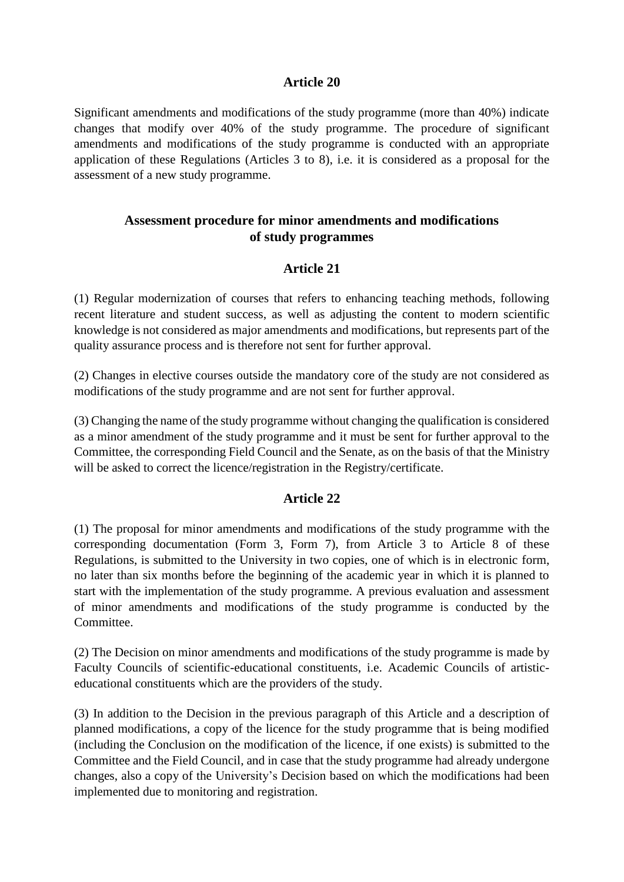### **Article 20**

Significant amendments and modifications of the study programme (more than 40%) indicate changes that modify over 40% of the study programme. The procedure of significant amendments and modifications of the study programme is conducted with an appropriate application of these Regulations (Articles 3 to 8), i.e. it is considered as a proposal for the assessment of a new study programme.

# **Assessment procedure for minor amendments and modifications of study programmes**

## **Article 21**

(1) Regular modernization of courses that refers to enhancing teaching methods, following recent literature and student success, as well as adjusting the content to modern scientific knowledge is not considered as major amendments and modifications, but represents part of the quality assurance process and is therefore not sent for further approval.

(2) Changes in elective courses outside the mandatory core of the study are not considered as modifications of the study programme and are not sent for further approval.

(3) Changing the name of the study programme without changing the qualification is considered as a minor amendment of the study programme and it must be sent for further approval to the Committee, the corresponding Field Council and the Senate, as on the basis of that the Ministry will be asked to correct the licence/registration in the Registry/certificate.

## **Article 22**

(1) The proposal for minor amendments and modifications of the study programme with the corresponding documentation (Form 3, Form 7), from Article 3 to Article 8 of these Regulations, is submitted to the University in two copies, one of which is in electronic form, no later than six months before the beginning of the academic year in which it is planned to start with the implementation of the study programme. A previous evaluation and assessment of minor amendments and modifications of the study programme is conducted by the Committee.

(2) The Decision on minor amendments and modifications of the study programme is made by Faculty Councils of scientific-educational constituents, i.e. Academic Councils of artisticeducational constituents which are the providers of the study.

(3) In addition to the Decision in the previous paragraph of this Article and a description of planned modifications, a copy of the licence for the study programme that is being modified (including the Conclusion on the modification of the licence, if one exists) is submitted to the Committee and the Field Council, and in case that the study programme had already undergone changes, also a copy of the University's Decision based on which the modifications had been implemented due to monitoring and registration.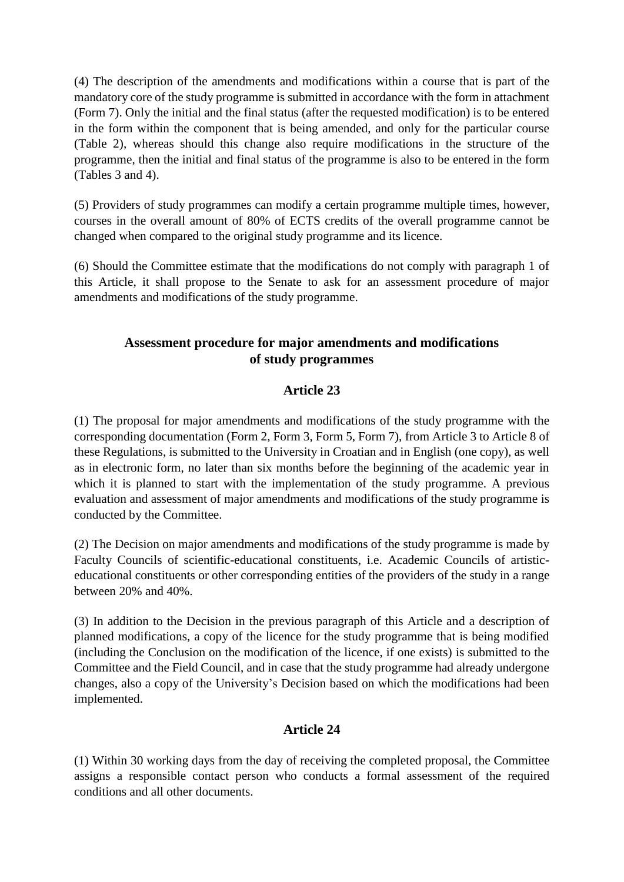(4) The description of the amendments and modifications within a course that is part of the mandatory core of the study programme is submitted in accordance with the form in attachment (Form 7). Only the initial and the final status (after the requested modification) is to be entered in the form within the component that is being amended, and only for the particular course (Table 2), whereas should this change also require modifications in the structure of the programme, then the initial and final status of the programme is also to be entered in the form (Tables 3 and 4).

(5) Providers of study programmes can modify a certain programme multiple times, however, courses in the overall amount of 80% of ECTS credits of the overall programme cannot be changed when compared to the original study programme and its licence.

(6) Should the Committee estimate that the modifications do not comply with paragraph 1 of this Article, it shall propose to the Senate to ask for an assessment procedure of major amendments and modifications of the study programme.

# **Assessment procedure for major amendments and modifications of study programmes**

# **Article 23**

(1) The proposal for major amendments and modifications of the study programme with the corresponding documentation (Form 2, Form 3, Form 5, Form 7), from Article 3 to Article 8 of these Regulations, is submitted to the University in Croatian and in English (one copy), as well as in electronic form, no later than six months before the beginning of the academic year in which it is planned to start with the implementation of the study programme. A previous evaluation and assessment of major amendments and modifications of the study programme is conducted by the Committee.

(2) The Decision on major amendments and modifications of the study programme is made by Faculty Councils of scientific-educational constituents, i.e. Academic Councils of artisticeducational constituents or other corresponding entities of the providers of the study in a range between 20% and 40%.

(3) In addition to the Decision in the previous paragraph of this Article and a description of planned modifications, a copy of the licence for the study programme that is being modified (including the Conclusion on the modification of the licence, if one exists) is submitted to the Committee and the Field Council, and in case that the study programme had already undergone changes, also a copy of the University's Decision based on which the modifications had been implemented.

## **Article 24**

(1) Within 30 working days from the day of receiving the completed proposal, the Committee assigns a responsible contact person who conducts a formal assessment of the required conditions and all other documents.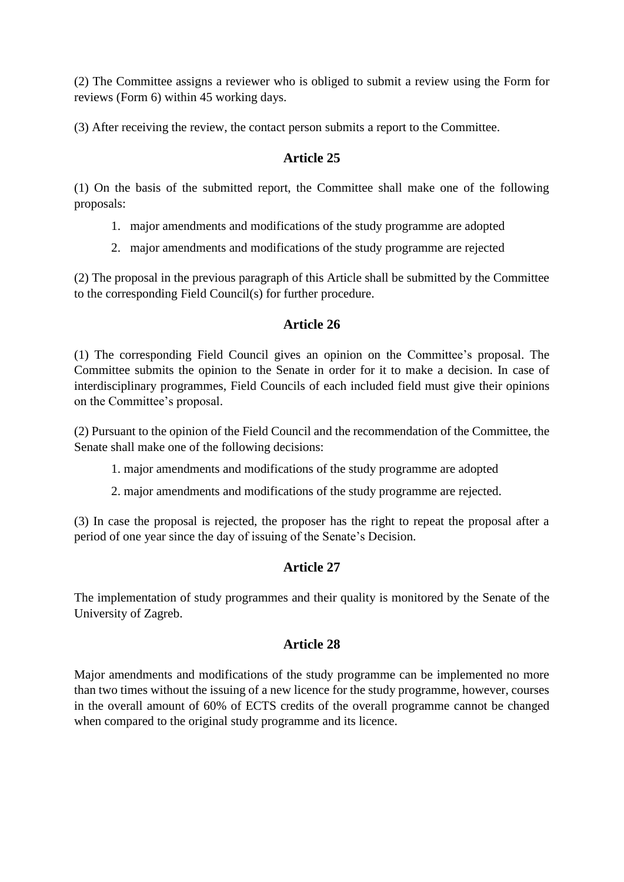(2) The Committee assigns a reviewer who is obliged to submit a review using the Form for reviews (Form 6) within 45 working days.

(3) After receiving the review, the contact person submits a report to the Committee.

# **Article 25**

(1) On the basis of the submitted report, the Committee shall make one of the following proposals:

- 1. major amendments and modifications of the study programme are adopted
- 2. major amendments and modifications of the study programme are rejected

(2) The proposal in the previous paragraph of this Article shall be submitted by the Committee to the corresponding Field Council(s) for further procedure.

## **Article 26**

(1) The corresponding Field Council gives an opinion on the Committee's proposal. The Committee submits the opinion to the Senate in order for it to make a decision. In case of interdisciplinary programmes, Field Councils of each included field must give their opinions on the Committee's proposal.

(2) Pursuant to the opinion of the Field Council and the recommendation of the Committee, the Senate shall make one of the following decisions:

1. major amendments and modifications of the study programme are adopted

2. major amendments and modifications of the study programme are rejected.

(3) In case the proposal is rejected, the proposer has the right to repeat the proposal after a period of one year since the day of issuing of the Senate's Decision.

## **Article 27**

The implementation of study programmes and their quality is monitored by the Senate of the University of Zagreb.

## **Article 28**

Major amendments and modifications of the study programme can be implemented no more than two times without the issuing of a new licence for the study programme, however, courses in the overall amount of 60% of ECTS credits of the overall programme cannot be changed when compared to the original study programme and its licence.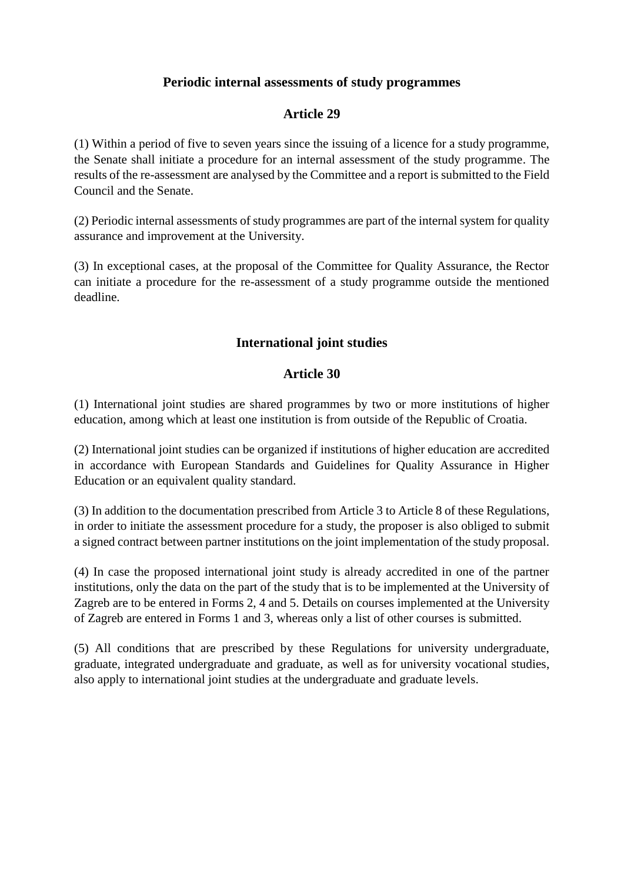### **Periodic internal assessments of study programmes**

## **Article 29**

(1) Within a period of five to seven years since the issuing of a licence for a study programme, the Senate shall initiate a procedure for an internal assessment of the study programme. The results of the re-assessment are analysed by the Committee and a report is submitted to the Field Council and the Senate.

(2) Periodic internal assessments of study programmes are part of the internal system for quality assurance and improvement at the University.

(3) In exceptional cases, at the proposal of the Committee for Quality Assurance, the Rector can initiate a procedure for the re-assessment of a study programme outside the mentioned deadline.

### **International joint studies**

### **Article 30**

(1) International joint studies are shared programmes by two or more institutions of higher education, among which at least one institution is from outside of the Republic of Croatia.

(2) International joint studies can be organized if institutions of higher education are accredited in accordance with European Standards and Guidelines for Quality Assurance in Higher Education or an equivalent quality standard.

(3) In addition to the documentation prescribed from Article 3 to Article 8 of these Regulations, in order to initiate the assessment procedure for a study, the proposer is also obliged to submit a signed contract between partner institutions on the joint implementation of the study proposal.

(4) In case the proposed international joint study is already accredited in one of the partner institutions, only the data on the part of the study that is to be implemented at the University of Zagreb are to be entered in Forms 2, 4 and 5. Details on courses implemented at the University of Zagreb are entered in Forms 1 and 3, whereas only a list of other courses is submitted.

(5) All conditions that are prescribed by these Regulations for university undergraduate, graduate, integrated undergraduate and graduate, as well as for university vocational studies, also apply to international joint studies at the undergraduate and graduate levels.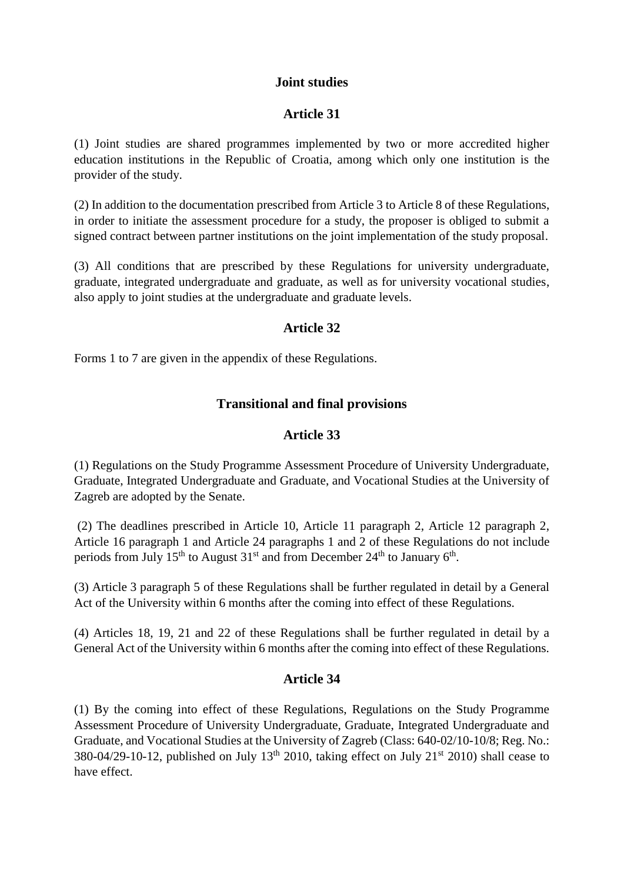### **Joint studies**

### **Article 31**

(1) Joint studies are shared programmes implemented by two or more accredited higher education institutions in the Republic of Croatia, among which only one institution is the provider of the study.

(2) In addition to the documentation prescribed from Article 3 to Article 8 of these Regulations, in order to initiate the assessment procedure for a study, the proposer is obliged to submit a signed contract between partner institutions on the joint implementation of the study proposal.

(3) All conditions that are prescribed by these Regulations for university undergraduate, graduate, integrated undergraduate and graduate, as well as for university vocational studies, also apply to joint studies at the undergraduate and graduate levels.

### **Article 32**

Forms 1 to 7 are given in the appendix of these Regulations.

## **Transitional and final provisions**

### **Article 33**

(1) Regulations on the Study Programme Assessment Procedure of University Undergraduate, Graduate, Integrated Undergraduate and Graduate, and Vocational Studies at the University of Zagreb are adopted by the Senate.

(2) The deadlines prescribed in Article 10, Article 11 paragraph 2, Article 12 paragraph 2, Article 16 paragraph 1 and Article 24 paragraphs 1 and 2 of these Regulations do not include periods from July 15<sup>th</sup> to August 31<sup>st</sup> and from December 24<sup>th</sup> to January 6<sup>th</sup>.

(3) Article 3 paragraph 5 of these Regulations shall be further regulated in detail by a General Act of the University within 6 months after the coming into effect of these Regulations.

(4) Articles 18, 19, 21 and 22 of these Regulations shall be further regulated in detail by a General Act of the University within 6 months after the coming into effect of these Regulations.

## **Article 34**

(1) By the coming into effect of these Regulations, Regulations on the Study Programme Assessment Procedure of University Undergraduate, Graduate, Integrated Undergraduate and Graduate, and Vocational Studies at the University of Zagreb (Class: 640-02/10-10/8; Reg. No.: 380-04/29-10-12, published on July 13th 2010, taking effect on July 21st 2010) shall cease to have effect.